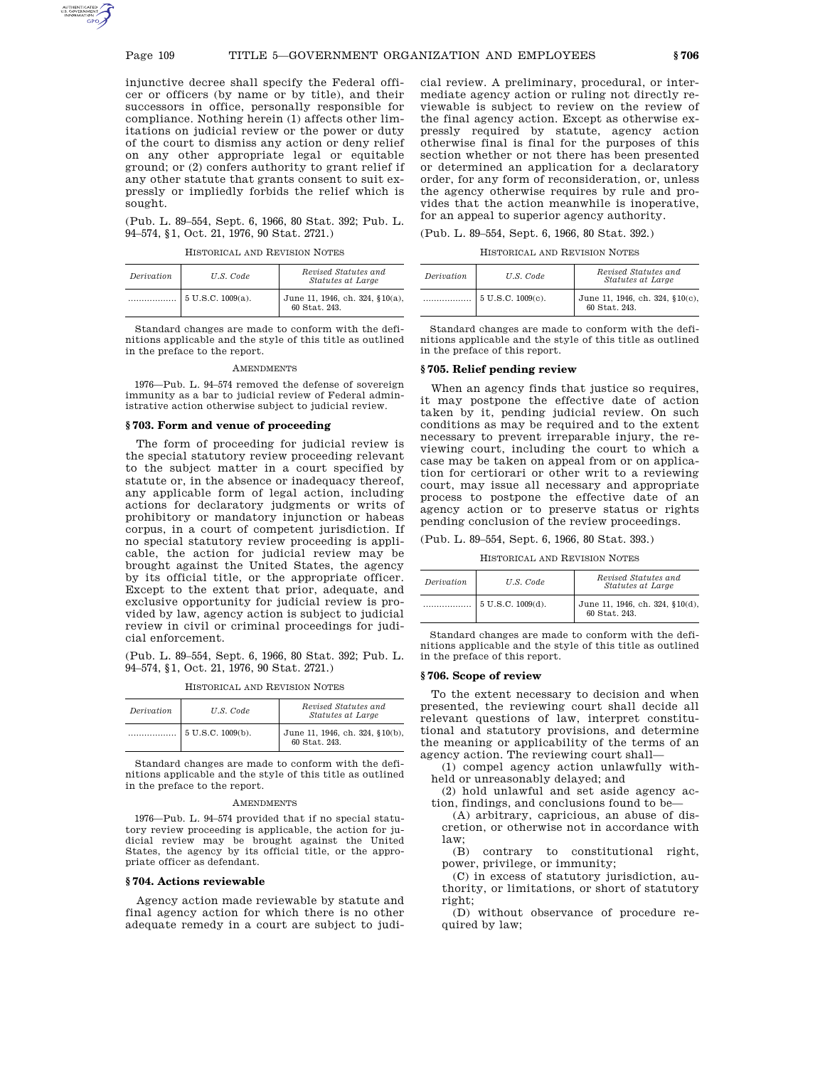injunctive decree shall specify the Federal officer or officers (by name or by title), and their successors in office, personally responsible for compliance. Nothing herein (1) affects other limitations on judicial review or the power or duty of the court to dismiss any action or deny relief on any other appropriate legal or equitable ground; or (2) confers authority to grant relief if any other statute that grants consent to suit expressly or impliedly forbids the relief which is sought.

(Pub. L. 89–554, Sept. 6, 1966, 80 Stat. 392; Pub. L. 94–574, §1, Oct. 21, 1976, 90 Stat. 2721.)

HISTORICAL AND REVISION NOTES

| Derivation | U.S. Code            | Revised Statutes and<br><i>Statutes at Large</i> |
|------------|----------------------|--------------------------------------------------|
|            | $5 U.S.C. 1009(a)$ . | June 11, 1946, ch. 324, §10(a),<br>60 Stat. 243. |

Standard changes are made to conform with the definitions applicable and the style of this title as outlined in the preface to the report.

**AMENDMENTS** 

1976—Pub. L. 94–574 removed the defense of sovereign immunity as a bar to judicial review of Federal administrative action otherwise subject to judicial review.

#### **§ 703. Form and venue of proceeding**

The form of proceeding for judicial review is the special statutory review proceeding relevant to the subject matter in a court specified by statute or, in the absence or inadequacy thereof, any applicable form of legal action, including actions for declaratory judgments or writs of prohibitory or mandatory injunction or habeas corpus, in a court of competent jurisdiction. If no special statutory review proceeding is applicable, the action for judicial review may be brought against the United States, the agency by its official title, or the appropriate officer. Except to the extent that prior, adequate, and exclusive opportunity for judicial review is provided by law, agency action is subject to judicial review in civil or criminal proceedings for judicial enforcement.

(Pub. L. 89–554, Sept. 6, 1966, 80 Stat. 392; Pub. L. 94–574, §1, Oct. 21, 1976, 90 Stat. 2721.)

| Derivation | U.S. Code                     | Revised Statutes and<br>Statutes at Large        |
|------------|-------------------------------|--------------------------------------------------|
|            | $5 \text{ U.S.C. } 1009(b)$ . | June 11, 1946, ch. 324, §10(b),<br>60 Stat. 243. |

HISTORICAL AND REVISION NOTES

Standard changes are made to conform with the definitions applicable and the style of this title as outlined in the preface to the report.

#### **AMENDMENTS**

1976—Pub. L. 94–574 provided that if no special statutory review proceeding is applicable, the action for judicial review may be brought against the United States, the agency by its official title, or the appropriate officer as defendant.

## **§ 704. Actions reviewable**

Agency action made reviewable by statute and final agency action for which there is no other adequate remedy in a court are subject to judicial review. A preliminary, procedural, or intermediate agency action or ruling not directly reviewable is subject to review on the review of the final agency action. Except as otherwise expressly required by statute, agency action otherwise final is final for the purposes of this section whether or not there has been presented or determined an application for a declaratory order, for any form of reconsideration, or, unless the agency otherwise requires by rule and provides that the action meanwhile is inoperative, for an appeal to superior agency authority.

| (Pub. L. 89–554, Sept. 6, 1966, 80 Stat. 392.) |  |  |  |  |  |
|------------------------------------------------|--|--|--|--|--|
|------------------------------------------------|--|--|--|--|--|

HISTORICAL AND REVISION NOTES

| Derivation | U.S. Code                 | Revised Statutes and<br>Statutes at Large        |  |
|------------|---------------------------|--------------------------------------------------|--|
|            | $\vert$ 5 U.S.C. 1009(c). | June 11, 1946, ch. 324, §10(c),<br>60 Stat. 243. |  |

Standard changes are made to conform with the definitions applicable and the style of this title as outlined in the preface of this report.

## **§ 705. Relief pending review**

When an agency finds that justice so requires, it may postpone the effective date of action taken by it, pending judicial review. On such conditions as may be required and to the extent necessary to prevent irreparable injury, the reviewing court, including the court to which a case may be taken on appeal from or on application for certiorari or other writ to a reviewing court, may issue all necessary and appropriate process to postpone the effective date of an agency action or to preserve status or rights pending conclusion of the review proceedings.

(Pub. L. 89–554, Sept. 6, 1966, 80 Stat. 393.)

HISTORICAL AND REVISION NOTES

| Derivation | U.S. Code                     | Revised Statutes and<br>Statutes at Large        |
|------------|-------------------------------|--------------------------------------------------|
|            | $5 \text{ U.S.C. } 1009(d)$ . | June 11, 1946, ch. 324, §10(d),<br>60 Stat. 243. |

Standard changes are made to conform with the definitions applicable and the style of this title as outlined in the preface of this report.

### **§ 706. Scope of review**

To the extent necessary to decision and when presented, the reviewing court shall decide all relevant questions of law, interpret constitutional and statutory provisions, and determine the meaning or applicability of the terms of an agency action. The reviewing court shall—

(1) compel agency action unlawfully withheld or unreasonably delayed; and

(2) hold unlawful and set aside agency action, findings, and conclusions found to be—

(A) arbitrary, capricious, an abuse of discretion, or otherwise not in accordance with law;

(B) contrary to constitutional right, power, privilege, or immunity;

(C) in excess of statutory jurisdiction, authority, or limitations, or short of statutory right;

(D) without observance of procedure required by law;